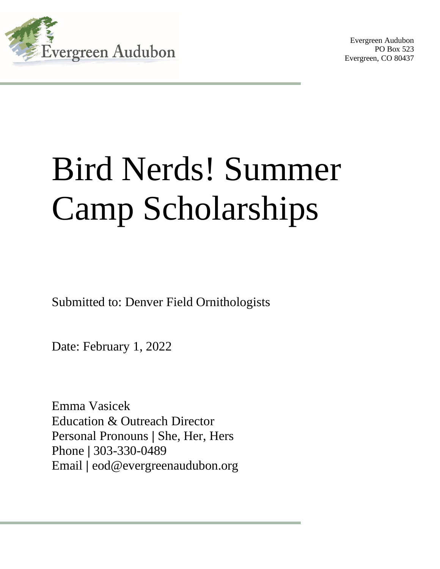

Evergreen Audubon PO Box 523 Evergreen, CO 80437

# Bird Nerds! Summer Camp Scholarships

Submitted to: Denver Field Ornithologists

Date: February 1, 2022

Emma Vasicek Education & Outreach Director Personal Pronouns **|** She, Her, Hers Phone **|** 303-330-0489 Email **|** eod@evergreenaudubon.org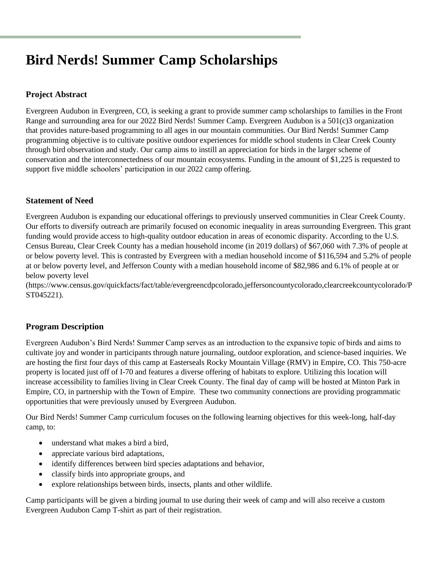# **Bird Nerds! Summer Camp Scholarships**

# **Project Abstract**

Evergreen Audubon in Evergreen, CO, is seeking a grant to provide summer camp scholarships to families in the Front Range and surrounding area for our 2022 Bird Nerds! Summer Camp. Evergreen Audubon is a 501(c)3 organization that provides nature-based programming to all ages in our mountain communities. Our Bird Nerds! Summer Camp programming objective is to cultivate positive outdoor experiences for middle school students in Clear Creek County through bird observation and study. Our camp aims to instill an appreciation for birds in the larger scheme of conservation and the interconnectedness of our mountain ecosystems. Funding in the amount of \$1,225 is requested to support five middle schoolers' participation in our 2022 camp offering.

# **Statement of Need**

Evergreen Audubon is expanding our educational offerings to previously unserved communities in Clear Creek County. Our efforts to diversify outreach are primarily focused on economic inequality in areas surrounding Evergreen. This grant funding would provide access to high-quality outdoor education in areas of economic disparity. According to the U.S. Census Bureau, Clear Creek County has a median household income (in 2019 dollars) of \$67,060 with 7.3% of people at or below poverty level. This is contrasted by Evergreen with a median household income of \$116,594 and 5.2% of people at or below poverty level, and Jefferson County with a median household income of \$82,986 and 6.1% of people at or below poverty level

(https://www.census.gov/quickfacts/fact/table/evergreencdpcolorado,jeffersoncountycolorado,clearcreekcountycolorado/P ST045221).

# **Program Description**

Evergreen Audubon's Bird Nerds! Summer Camp serves as an introduction to the expansive topic of birds and aims to cultivate joy and wonder in participants through nature journaling, outdoor exploration, and science-based inquiries. We are hosting the first four days of this camp at Easterseals Rocky Mountain Village (RMV) in Empire, CO. This 750-acre property is located just off of I-70 and features a diverse offering of habitats to explore. Utilizing this location will increase accessibility to families living in Clear Creek County. The final day of camp will be hosted at Minton Park in Empire, CO, in partnership with the Town of Empire. These two community connections are providing programmatic opportunities that were previously unused by Evergreen Audubon.

Our Bird Nerds! Summer Camp curriculum focuses on the following learning objectives for this week-long, half-day camp, to:

- understand what makes a bird a bird,
- appreciate various bird adaptations,
- identify differences between bird species adaptations and behavior,
- classify birds into appropriate groups, and
- explore relationships between birds, insects, plants and other wildlife.

Camp participants will be given a birding journal to use during their week of camp and will also receive a custom Evergreen Audubon Camp T-shirt as part of their registration.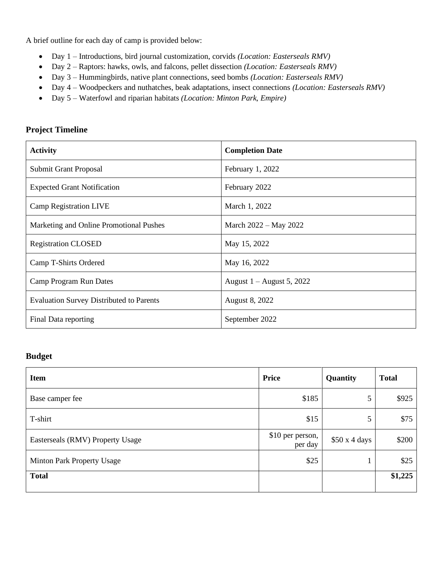A brief outline for each day of camp is provided below:

- Day 1 Introductions, bird journal customization, corvids *(Location: Easterseals RMV)*
- Day 2 Raptors: hawks, owls, and falcons, pellet dissection *(Location: Easterseals RMV)*
- Day 3 Hummingbirds, native plant connections, seed bombs *(Location: Easterseals RMV)*
- Day 4 Woodpeckers and nuthatches, beak adaptations, insect connections *(Location: Easterseals RMV)*
- Day 5 Waterfowl and riparian habitats *(Location: Minton Park, Empire)*

| <b>Activity</b>                                 | <b>Completion Date</b>      |
|-------------------------------------------------|-----------------------------|
| <b>Submit Grant Proposal</b>                    | February 1, 2022            |
| <b>Expected Grant Notification</b>              | February 2022               |
| <b>Camp Registration LIVE</b>                   | March 1, 2022               |
| Marketing and Online Promotional Pushes         | March 2022 – May 2022       |
| <b>Registration CLOSED</b>                      | May 15, 2022                |
| Camp T-Shirts Ordered                           | May 16, 2022                |
| Camp Program Run Dates                          | August $1 -$ August 5, 2022 |
| <b>Evaluation Survey Distributed to Parents</b> | August 8, 2022              |
| Final Data reporting                            | September 2022              |

#### **Project Timeline**

## **Budget**

| <b>Item</b>                      | <b>Price</b>                | Quantity    | <b>Total</b> |
|----------------------------------|-----------------------------|-------------|--------------|
| Base camper fee                  | \$185                       | 5           | \$925        |
| T-shirt                          | \$15                        | 5           | \$75         |
| Easterseals (RMV) Property Usage | \$10 per person,<br>per day | \$50x4 days | \$200        |
| Minton Park Property Usage       | \$25                        |             | \$25         |
| <b>Total</b>                     |                             |             | \$1,225      |